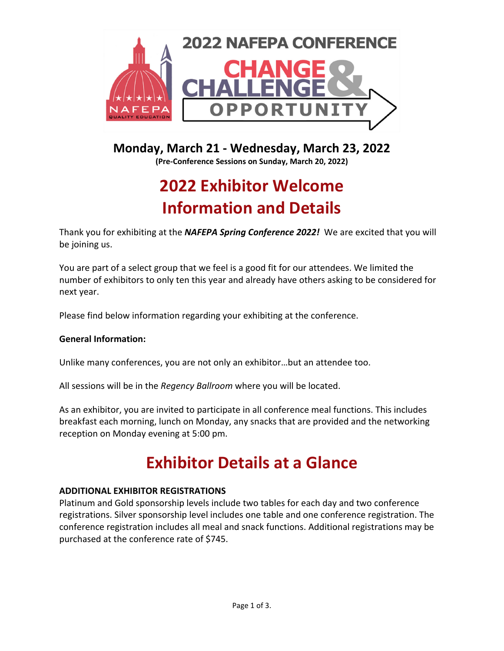

## **Monday, March 21 ‐ Wednesday, March 23, 2022**

**(Pre‐Conference Sessions on Sunday, March 20, 2022)**

# **2022 Exhibitor Welcome Information and Details**

Thank you for exhibiting at the *NAFEPA Spring Conference 2022!* We are excited that you will be joining us.

You are part of a select group that we feel is a good fit for our attendees. We limited the number of exhibitors to only ten this year and already have others asking to be considered for next year.

Please find below information regarding your exhibiting at the conference.

## **General Information:**

Unlike many conferences, you are not only an exhibitor…but an attendee too.

All sessions will be in the *Regency Ballroom* where you will be located.

As an exhibitor, you are invited to participate in all conference meal functions. This includes breakfast each morning, lunch on Monday, any snacks that are provided and the networking reception on Monday evening at 5:00 pm.

## **Exhibitor Details at a Glance**

## **ADDITIONAL EXHIBITOR REGISTRATIONS**

Platinum and Gold sponsorship levels include two tables for each day and two conference registrations. Silver sponsorship level includes one table and one conference registration. The conference registration includes all meal and snack functions. Additional registrations may be purchased at the conference rate of \$745.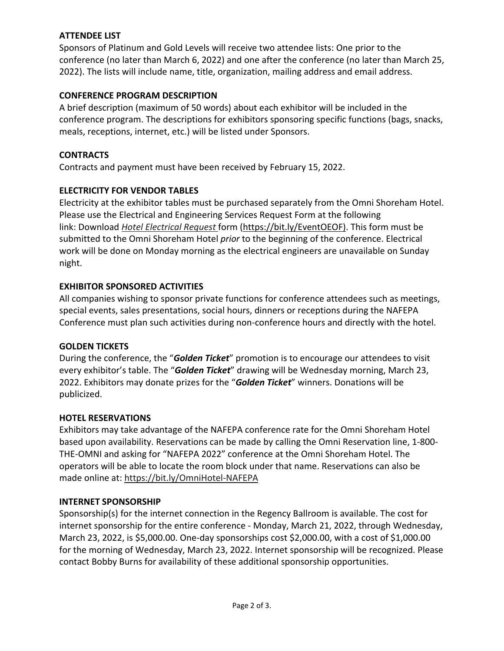## **ATTENDEE LIST**

Sponsors of Platinum and Gold Levels will receive two attendee lists: One prior to the conference (no later than March 6, 2022) and one after the conference (no later than March 25, 2022). The lists will include name, title, organization, mailing address and email address.

## **CONFERENCE PROGRAM DESCRIPTION**

A brief description (maximum of 50 words) about each exhibitor will be included in the conference program. The descriptions for exhibitors sponsoring specific functions (bags, snacks, meals, receptions, internet, etc.) will be listed under Sponsors.

## **CONTRACTS**

Contracts and payment must have been received by February 15, 2022.

## **ELECTRICITY FOR VENDOR TABLES**

Electricity at the exhibitor tables must be purchased separately from the Omni Shoreham Hotel. Please use the Electrical and Engineering Services Request Form at the following link: Download *Hotel Electrical Request* form (https://bit.ly/EventOEOF). This form must be submitted to the Omni Shoreham Hotel *prior* to the beginning of the conference. Electrical work will be done on Monday morning as the electrical engineers are unavailable on Sunday night.

## **EXHIBITOR SPONSORED ACTIVITIES**

All companies wishing to sponsor private functions for conference attendees such as meetings, special events, sales presentations, social hours, dinners or receptions during the NAFEPA Conference must plan such activities during non‐conference hours and directly with the hotel.

## **GOLDEN TICKETS**

During the conference, the "*Golden Ticket*" promotion is to encourage our attendees to visit every exhibitor's table. The "*Golden Ticket*" drawing will be Wednesday morning, March 23, 2022. Exhibitors may donate prizes for the "*Golden Ticket*" winners. Donations will be publicized.

## **HOTEL RESERVATIONS**

Exhibitors may take advantage of the NAFEPA conference rate for the Omni Shoreham Hotel based upon availability. Reservations can be made by calling the Omni Reservation line, 1‐800‐ THE‐OMNI and asking for "NAFEPA 2022" conference at the Omni Shoreham Hotel. The operators will be able to locate the room block under that name. Reservations can also be made online at: https://bit.ly/OmniHotel‐NAFEPA

## **INTERNET SPONSORSHIP**

Sponsorship(s) for the internet connection in the Regency Ballroom is available. The cost for internet sponsorship for the entire conference ‐ Monday, March 21, 2022, through Wednesday, March 23, 2022, is \$5,000.00. One‐day sponsorships cost \$2,000.00, with a cost of \$1,000.00 for the morning of Wednesday, March 23, 2022. Internet sponsorship will be recognized. Please contact Bobby Burns for availability of these additional sponsorship opportunities.